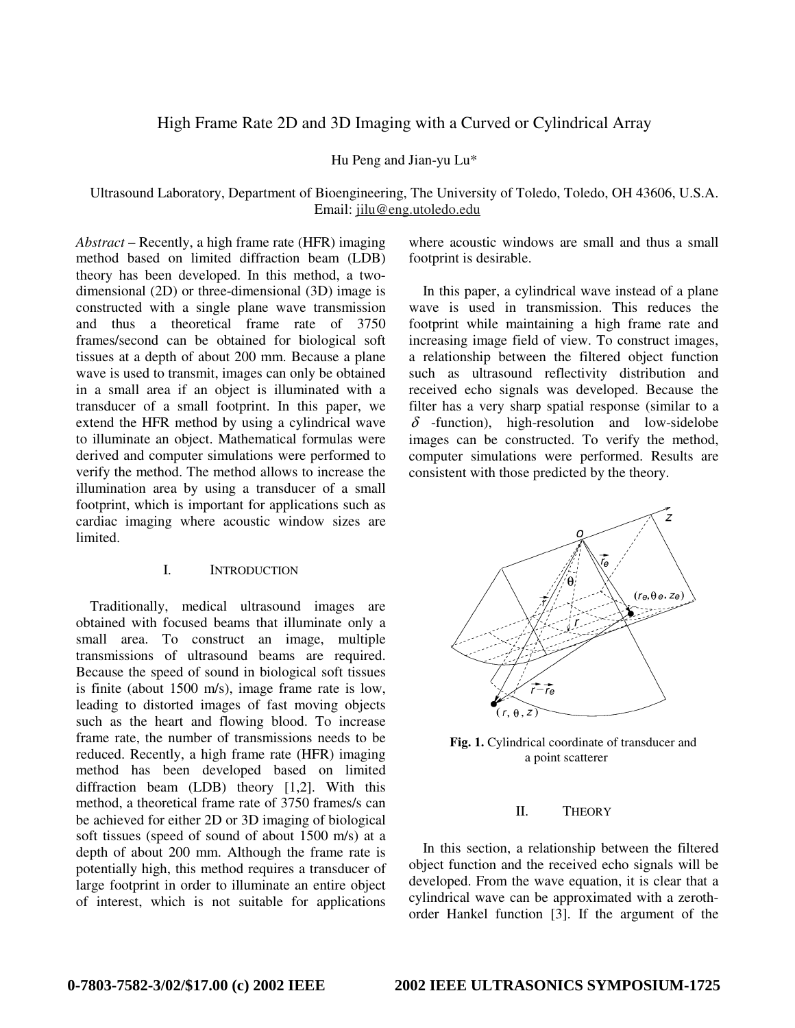# High Frame Rate 2D and 3D Imaging with a Curved or Cylindrical Array

Hu Peng and Jian-yu Lu\*

Ultrasound Laboratory, Department of Bioengineering, The University of Toledo, Toledo, OH 43606, U.S.A. Email: jilu@eng.utoledo.edu

*Abstract* – Recently, a high frame rate (HFR) imaging method based on limited diffraction beam (LDB) theory has been developed. In this method, a twodimensional (2D) or three-dimensional (3D) image is constructed with a single plane wave transmission and thus a theoretical frame rate of 3750 frames/second can be obtained for biological soft tissues at a depth of about 200 mm. Because a plane wave is used to transmit, images can only be obtained in a small area if an object is illuminated with a transducer of a small footprint. In this paper, we extend the HFR method by using a cylindrical wave to illuminate an object. Mathematical formulas were derived and computer simulations were performed to verify the method. The method allows to increase the illumination area by using a transducer of a small footprint, which is important for applications such as cardiac imaging where acoustic window sizes are limited.

## I. INTRODUCTION

Traditionally, medical ultrasound images are obtained with focused beams that illuminate only a small area. To construct an image, multiple transmissions of ultrasound beams are required. Because the speed of sound in biological soft tissues is finite (about 1500 m/s), image frame rate is low, leading to distorted images of fast moving objects such as the heart and flowing blood. To increase frame rate, the number of transmissions needs to be reduced. Recently, a high frame rate (HFR) imaging method has been developed based on limited diffraction beam (LDB) theory [1,2]. With this method, a theoretical frame rate of 3750 frames/s can be achieved for either 2D or 3D imaging of biological soft tissues (speed of sound of about 1500 m/s) at a depth of about 200 mm. Although the frame rate is potentially high, this method requires a transducer of large footprint in order to illuminate an entire object of interest, which is not suitable for applications

where acoustic windows are small and thus a small footprint is desirable.

In this paper, a cylindrical wave instead of a plane wave is used in transmission. This reduces the footprint while maintaining a high frame rate and increasing image field of view. To construct images, a relationship between the filtered object function such as ultrasound reflectivity distribution and received echo signals was developed. Because the filter has a very sharp spatial response (similar to a  $\delta$  -function), high-resolution and low-sidelobe images can be constructed. To verify the method, computer simulations were performed. Results are consistent with those predicted by the theory.



Fig. 1. Cylindrical coordinate of transducer and a point scatterer

## II. THEORY

In this section, a relationship between the filtered object function and the received echo signals will be developed. From the wave equation, it is clear that a cylindrical wave can be approximated with a zerothorder Hankel function [3]. If the argument of the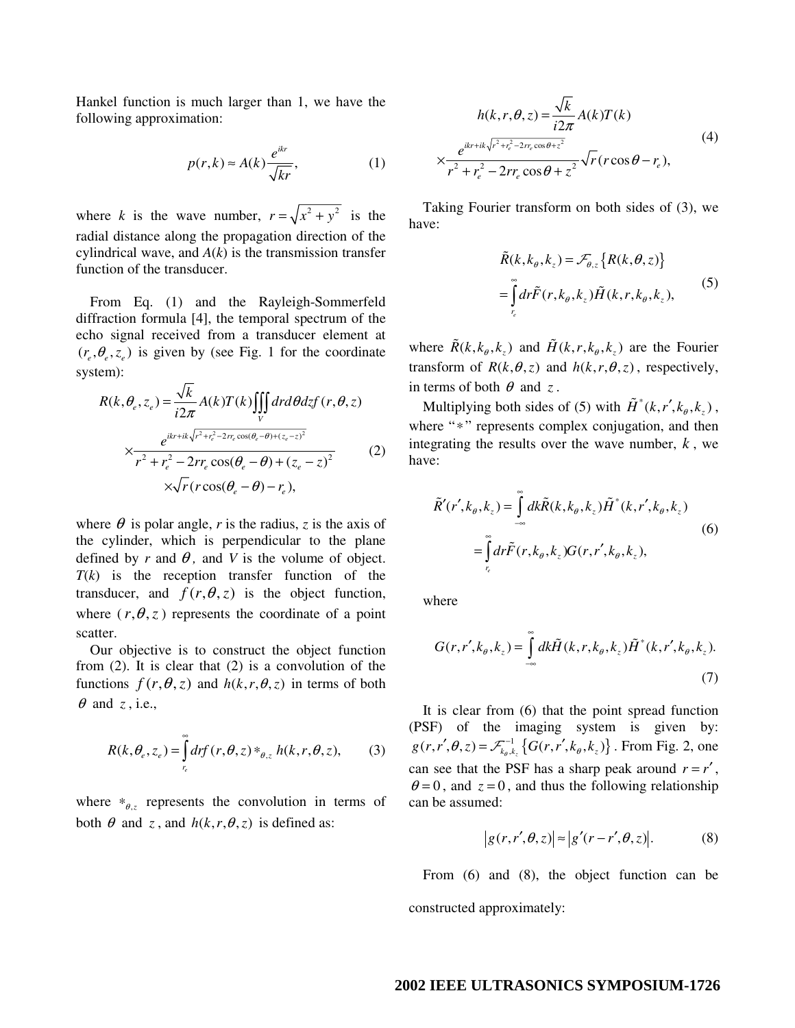Hankel function is much larger than 1, we have the following approximation:

$$
p(r,k) \approx A(k) \frac{e^{ikr}}{\sqrt{kr}},\tag{1}
$$

where *k* is the wave number,  $r = \sqrt{x^2 + y^2}$  is the radial distance along the propagation direction of the cylindrical wave, and  $A(k)$  is the transmission transfer function of the transducer.

From Eq. (1) and the Rayleigh-Sommerfeld diffraction formula [4], the temporal spectrum of the echo signal received from a transducer element at  $(r_e, \theta_e, z_e)$  is given by (see Fig. 1 for the coordinate system):

$$
R(k, \theta_e, z_e) = \frac{\sqrt{k}}{i2\pi} A(k) T(k) \iiint_V dr d\theta dz f(r, \theta, z)
$$

$$
\times \frac{e^{ikr + ik\sqrt{r^2 + r_e^2 - 2r_e \cos(\theta_e - \theta) + (z_e - z)^2}}}{r^2 + r_e^2 - 2r_r e \cos(\theta_e - \theta) + (z_e - z)^2}
$$
(2)
$$
\times \sqrt{r} (r \cos(\theta_e - \theta) - r_e),
$$

where  $\theta$  is polar angle, r is the radius, z is the axis of the cylinder, which is perpendicular to the plane defined by *r* and  $\theta$ , and *V* is the volume of object. *T*(*k*) is the reception transfer function of the transducer, and  $f(r, \theta, z)$  is the object function, where  $(r, \theta, z)$  represents the coordinate of a point scatter.

Our objective is to construct the object function from (2). It is clear that (2) is a convolution of the functions  $f(r, \theta, z)$  and  $h(k, r, \theta, z)$  in terms of both  $\theta$  and *z*, i.e.,

$$
R(k, \theta_e, z_e) = \int_{r_e}^{\infty} dr f(r, \theta, z) *_{\theta, z} h(k, r, \theta, z), \quad (3)
$$

where  $*_{\theta, z}$  represents the convolution in terms of both  $\theta$  and *z*, and  $h(k, r, \theta, z)$  is defined as:

$$
h(k, r, \theta, z) = \frac{\sqrt{k}}{i2\pi} A(k)T(k)
$$
  

$$
\times \frac{e^{ikr + ik\sqrt{r^2 + r_c^2} - 2rr_c \cos\theta + z^2}}{r^2 + r_e^2 - 2rr_c \cos\theta + z^2} \sqrt{r}(r \cos\theta - r_e),
$$
 (4)

Taking Fourier transform on both sides of (3), we have:

$$
\tilde{R}(k, k_{\theta}, k_{z}) = \mathcal{F}_{\theta, z} \{ R(k, \theta, z) \}
$$
\n
$$
= \int_{r_{e}}^{\infty} dr \tilde{F}(r, k_{\theta}, k_{z}) \tilde{H}(k, r, k_{\theta}, k_{z}),
$$
\n(5)

where  $\tilde{R}(k, k_a, k_a)$  and  $\tilde{H}(k, r, k_a, k_a)$  are the Fourier transform of  $R(k, \theta, z)$  and  $h(k, r, \theta, z)$ , respectively, in terms of both  $\theta$  and *z*.

Multiplying both sides of (5) with  $\tilde{H}^*(k, r', k_{\theta}, k_z)$ , where "∗" represents complex conjugation, and then integrating the results over the wave number, *k* , we have:

$$
\tilde{R}'(r',k_{\theta},k_{z}) = \int_{-\infty}^{\infty} dk \tilde{R}(k,k_{\theta},k_{z}) \tilde{H}^{*}(k,r',k_{\theta},k_{z})
$$
\n
$$
= \int_{r_{\epsilon}}^{\infty} dr \tilde{F}(r,k_{\theta},k_{z}) G(r,r',k_{\theta},k_{z}),
$$
\n(6)

where

$$
G(r, r', k_{\theta}, k_z) = \int_{-\infty}^{\infty} dk \tilde{H}(k, r, k_{\theta}, k_z) \tilde{H}^*(k, r', k_{\theta}, k_z).
$$
\n(7)

It is clear from (6) that the point spread function (PSF) of the imaging system is given by:  $g(r, r', \theta, z) = \mathcal{F}_{k_{\theta}, k_z}^{-1} \{ G(r, r', k_{\theta}, k_z) \}$ . From Fig. 2, one can see that the PSF has a sharp peak around  $r = r'$ ,  $\theta = 0$ , and  $z = 0$ , and thus the following relationship can be assumed:

$$
|g(r,r',\theta,z)| \approx |g'(r-r',\theta,z)|. \tag{8}
$$

From (6) and (8), the object function can be constructed approximately:

# **2002 IEEE ULTRASONICS SYMPOSIUM-1726**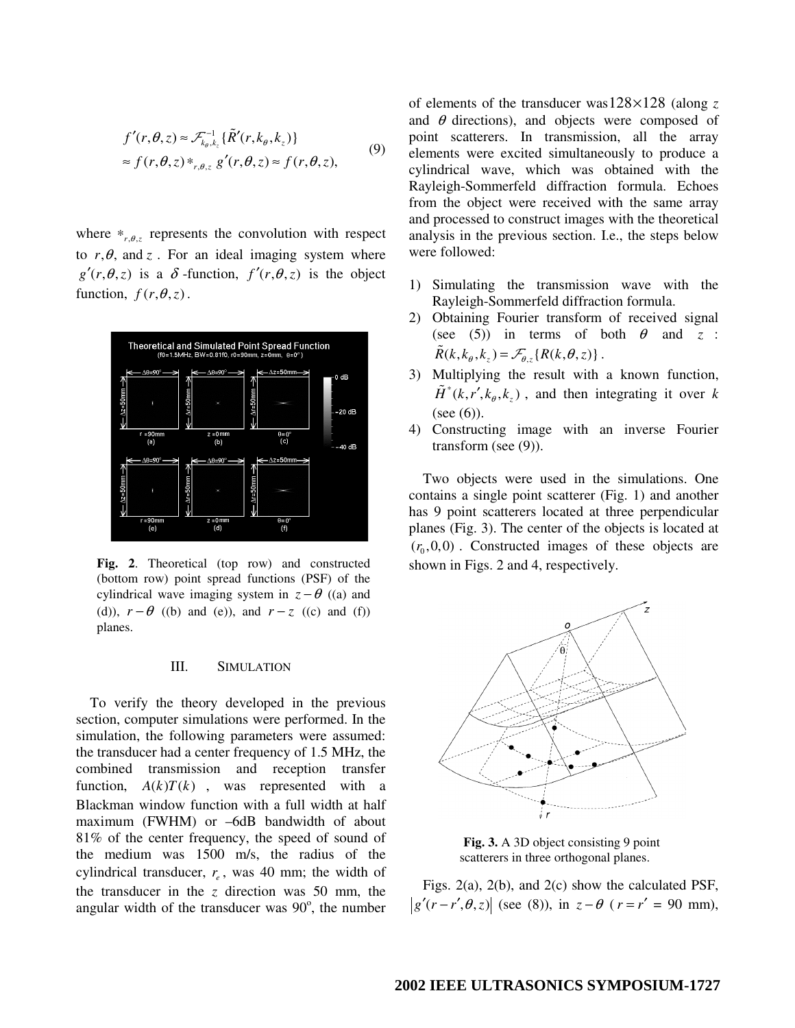$$
f'(r, \theta, z) \approx \mathcal{F}_{k_{\theta}, k_z}^{-1} \{ \tilde{R}'(r, k_{\theta}, k_z) \}
$$
  
\approx f(r, \theta, z) \*\_{r, \theta, z} g'(r, \theta, z) \approx f(r, \theta, z), (9)

where  $*_{r, \theta, z}$  represents the convolution with respect to  $r, \theta$ , and z. For an ideal imaging system where  $g'(r, \theta, z)$  is a  $\delta$ -function,  $f'(r, \theta, z)$  is the object function,  $f(r, \theta, z)$ .



**Fig. 2**. Theoretical (top row) and constructed (bottom row) point spread functions (PSF) of the cylindrical wave imaging system in  $z - \theta$  ((a) and (d)),  $r - \theta$  ((b) and (e)), and  $r - z$  ((c) and (f)) planes.

#### III. SIMULATION

To verify the theory developed in the previous section, computer simulations were performed. In the simulation, the following parameters were assumed: the transducer had a center frequency of 1.5 MHz, the combined transmission and reception transfer function,  $A(k)T(k)$ , was represented with a Blackman window function with a full width at half maximum (FWHM) or –6dB bandwidth of about 81% of the center frequency, the speed of sound of the medium was 1500 m/s, the radius of the cylindrical transducer,  $r_e$ , was 40 mm; the width of the transducer in the *z* direction was 50 mm, the angular width of the transducer was  $90^\circ$ , the number of elements of the transducer was  $128 \times 128$  (along z and  $\theta$  directions), and objects were composed of point scatterers. In transmission, all the array elements were excited simultaneously to produce a cylindrical wave, which was obtained with the Rayleigh-Sommerfeld diffraction formula. Echoes from the object were received with the same array and processed to construct images with the theoretical analysis in the previous section. I.e., the steps below were followed:

- 1) Simulating the transmission wave with the Rayleigh-Sommerfeld diffraction formula.
- 2) Obtaining Fourier transform of received signal (see (5)) in terms of both  $\theta$  and  $z$  :  $\tilde{R}(k, k_{\theta}, k_{z}) = \mathcal{F}_{\theta, z} \{R(k, \theta, z)\}.$
- 3) Multiplying the result with a known function, \*  $\tilde{H}^*(k, r', k_a, k_a)$ , and then integrating it over k (see  $(6)$ ).
- 4) Constructing image with an inverse Fourier transform (see (9)).

Two objects were used in the simulations. One contains a single point scatterer (Fig. 1) and another has 9 point scatterers located at three perpendicular planes (Fig. 3). The center of the objects is located at  $(r_0, 0, 0)$ . Constructed images of these objects are shown in Figs. 2 and 4, respectively.



**Fig. 3.** A 3D object consisting 9 point scatterers in three orthogonal planes.

Figs. 2(a), 2(b), and 2(c) show the calculated PSF,  $|g'(r-r', \theta, z)|$  (see (8)), in  $z - \theta$  ( $r = r' = 90$  mm),